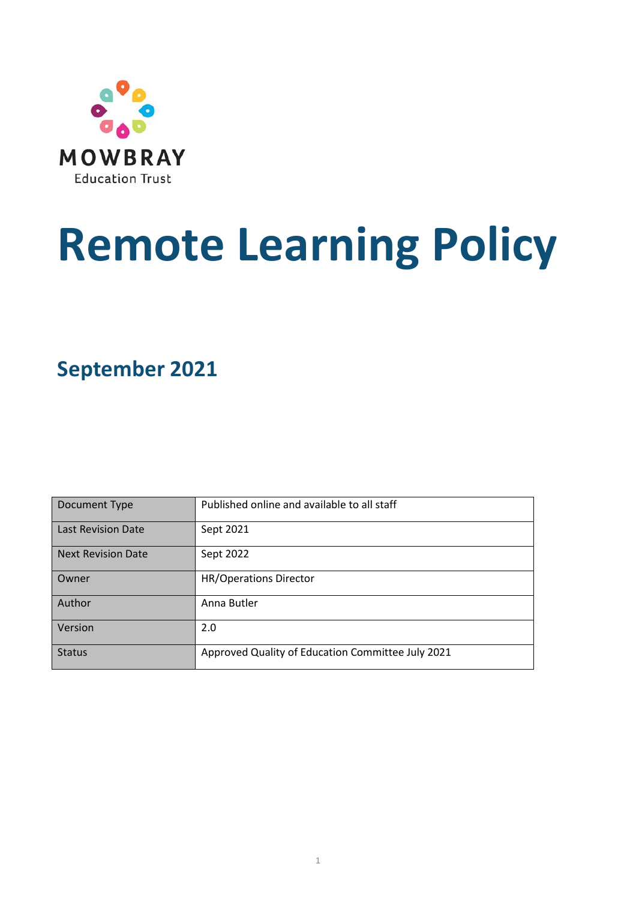

# **Remote Learning Policy**

**September 2021**

| Document Type             | Published online and available to all staff       |
|---------------------------|---------------------------------------------------|
| Last Revision Date        | Sept 2021                                         |
| <b>Next Revision Date</b> | Sept 2022                                         |
| Owner                     | <b>HR/Operations Director</b>                     |
| Author                    | Anna Butler                                       |
| Version                   | 2.0                                               |
| <b>Status</b>             | Approved Quality of Education Committee July 2021 |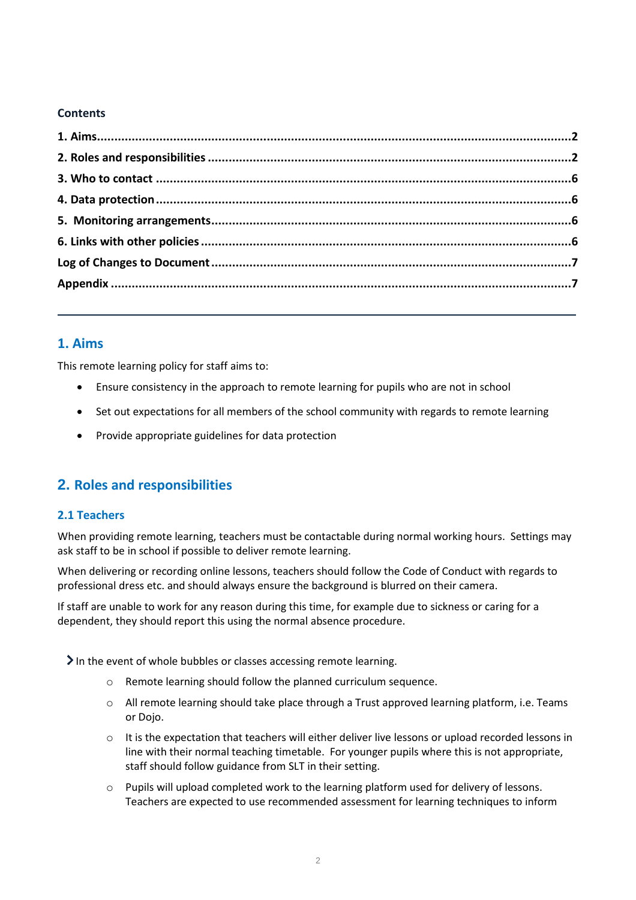#### **Contents**

# <span id="page-1-0"></span>**1. Aims**

This remote learning policy for staff aims to:

- Ensure consistency in the approach to remote learning for pupils who are not in school
- Set out expectations for all members of the school community with regards to remote learning
- Provide appropriate guidelines for data protection

# <span id="page-1-1"></span>**2. Roles and responsibilities**

#### **2.1 Teachers**

When providing remote learning, teachers must be contactable during normal working hours. Settings may ask staff to be in school if possible to deliver remote learning.

When delivering or recording online lessons, teachers should follow the Code of Conduct with regards to professional dress etc. and should always ensure the background is blurred on their camera.

If staff are unable to work for any reason during this time, for example due to sickness or caring for a dependent, they should report this using the normal absence procedure.

In the event of whole bubbles or classes accessing remote learning.

- o Remote learning should follow the planned curriculum sequence.
- o All remote learning should take place through a Trust approved learning platform, i.e. Teams or Dojo.
- $\circ$  It is the expectation that teachers will either deliver live lessons or upload recorded lessons in line with their normal teaching timetable. For younger pupils where this is not appropriate, staff should follow guidance from SLT in their setting.
- o Pupils will upload completed work to the learning platform used for delivery of lessons. Teachers are expected to use recommended assessment for learning techniques to inform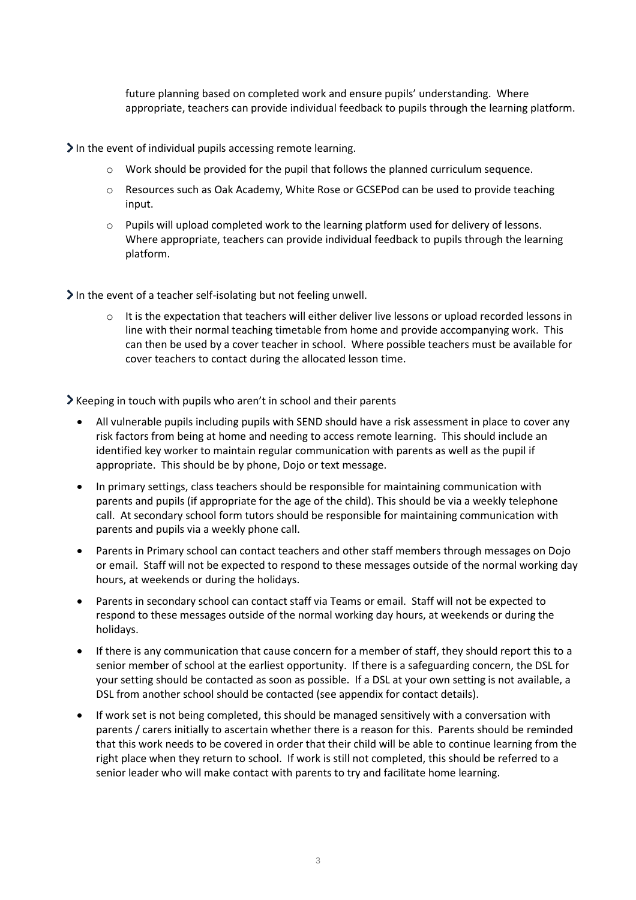future planning based on completed work and ensure pupils' understanding. Where appropriate, teachers can provide individual feedback to pupils through the learning platform.

 $\sum$  In the event of individual pupils accessing remote learning.

- o Work should be provided for the pupil that follows the planned curriculum sequence.
- o Resources such as Oak Academy, White Rose or GCSEPod can be used to provide teaching input.
- o Pupils will upload completed work to the learning platform used for delivery of lessons. Where appropriate, teachers can provide individual feedback to pupils through the learning platform.

 $\blacktriangleright$  In the event of a teacher self-isolating but not feeling unwell.

 $\circ$  It is the expectation that teachers will either deliver live lessons or upload recorded lessons in line with their normal teaching timetable from home and provide accompanying work. This can then be used by a cover teacher in school. Where possible teachers must be available for cover teachers to contact during the allocated lesson time.

Keeping in touch with pupils who aren't in school and their parents

- All vulnerable pupils including pupils with SEND should have a risk assessment in place to cover any risk factors from being at home and needing to access remote learning. This should include an identified key worker to maintain regular communication with parents as well as the pupil if appropriate. This should be by phone, Dojo or text message.
- In primary settings, class teachers should be responsible for maintaining communication with parents and pupils (if appropriate for the age of the child). This should be via a weekly telephone call. At secondary school form tutors should be responsible for maintaining communication with parents and pupils via a weekly phone call.
- Parents in Primary school can contact teachers and other staff members through messages on Dojo or email. Staff will not be expected to respond to these messages outside of the normal working day hours, at weekends or during the holidays.
- Parents in secondary school can contact staff via Teams or email. Staff will not be expected to respond to these messages outside of the normal working day hours, at weekends or during the holidays.
- If there is any communication that cause concern for a member of staff, they should report this to a senior member of school at the earliest opportunity. If there is a safeguarding concern, the DSL for your setting should be contacted as soon as possible. If a DSL at your own setting is not available, a DSL from another school should be contacted (see appendix for contact details).
- If work set is not being completed, this should be managed sensitively with a conversation with parents / carers initially to ascertain whether there is a reason for this. Parents should be reminded that this work needs to be covered in order that their child will be able to continue learning from the right place when they return to school. If work is still not completed, this should be referred to a senior leader who will make contact with parents to try and facilitate home learning.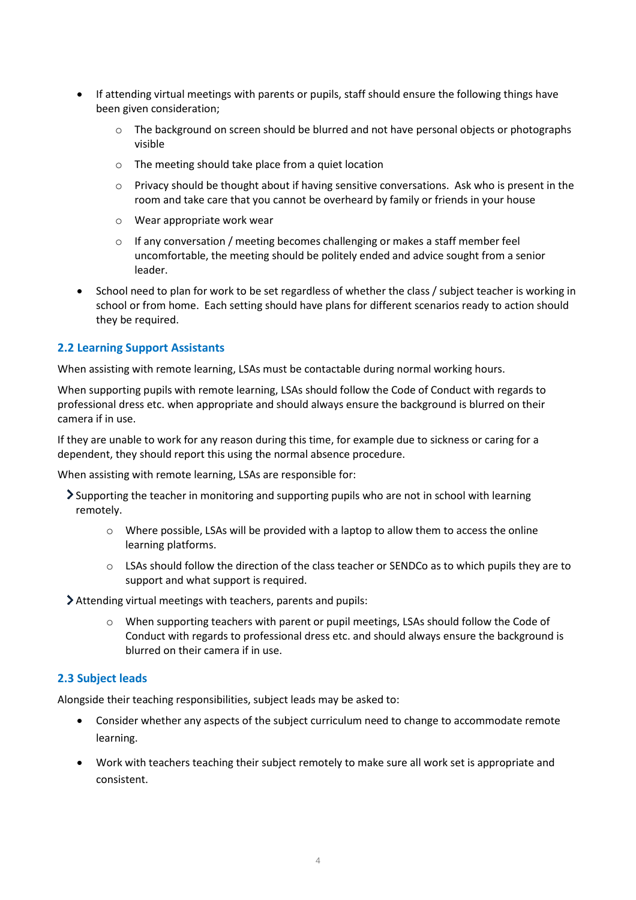- If attending virtual meetings with parents or pupils, staff should ensure the following things have been given consideration;
	- o The background on screen should be blurred and not have personal objects or photographs visible
	- o The meeting should take place from a quiet location
	- $\circ$  Privacy should be thought about if having sensitive conversations. Ask who is present in the room and take care that you cannot be overheard by family or friends in your house
	- o Wear appropriate work wear
	- $\circ$  If any conversation / meeting becomes challenging or makes a staff member feel uncomfortable, the meeting should be politely ended and advice sought from a senior leader.
- School need to plan for work to be set regardless of whether the class / subject teacher is working in school or from home. Each setting should have plans for different scenarios ready to action should they be required.

#### **2.2 Learning Support Assistants**

When assisting with remote learning, LSAs must be contactable during normal working hours.

When supporting pupils with remote learning, LSAs should follow the Code of Conduct with regards to professional dress etc. when appropriate and should always ensure the background is blurred on their camera if in use.

If they are unable to work for any reason during this time, for example due to sickness or caring for a dependent, they should report this using the normal absence procedure.

When assisting with remote learning, LSAs are responsible for:

- Supporting the teacher in monitoring and supporting pupils who are not in school with learning remotely.
	- o Where possible, LSAs will be provided with a laptop to allow them to access the online learning platforms.
	- o LSAs should follow the direction of the class teacher or SENDCo as to which pupils they are to support and what support is required.

Attending virtual meetings with teachers, parents and pupils:

o When supporting teachers with parent or pupil meetings, LSAs should follow the Code of Conduct with regards to professional dress etc. and should always ensure the background is blurred on their camera if in use.

#### **2.3 Subject leads**

Alongside their teaching responsibilities, subject leads may be asked to:

- Consider whether any aspects of the subject curriculum need to change to accommodate remote learning.
- Work with teachers teaching their subject remotely to make sure all work set is appropriate and consistent.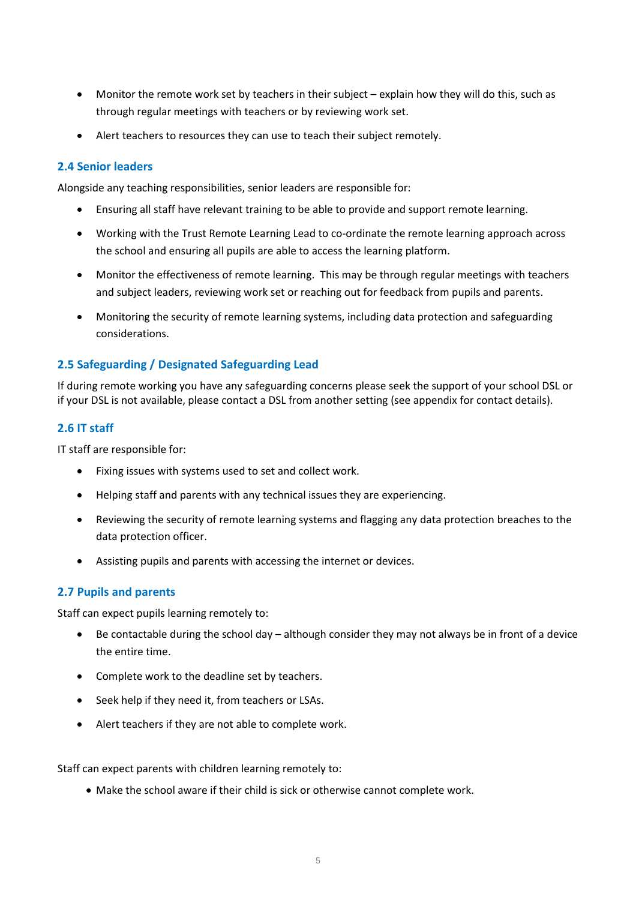- Monitor the remote work set by teachers in their subject explain how they will do this, such as through regular meetings with teachers or by reviewing work set.
- Alert teachers to resources they can use to teach their subject remotely.

#### **2.4 Senior leaders**

Alongside any teaching responsibilities, senior leaders are responsible for:

- Ensuring all staff have relevant training to be able to provide and support remote learning.
- Working with the Trust Remote Learning Lead to co-ordinate the remote learning approach across the school and ensuring all pupils are able to access the learning platform.
- Monitor the effectiveness of remote learning. This may be through regular meetings with teachers and subject leaders, reviewing work set or reaching out for feedback from pupils and parents.
- Monitoring the security of remote learning systems, including data protection and safeguarding considerations.

#### **2.5 Safeguarding / Designated Safeguarding Lead**

If during remote working you have any safeguarding concerns please seek the support of your school DSL or if your DSL is not available, please contact a DSL from another setting (see appendix for contact details).

#### **2.6 IT staff**

IT staff are responsible for:

- Fixing issues with systems used to set and collect work.
- Helping staff and parents with any technical issues they are experiencing.
- Reviewing the security of remote learning systems and flagging any data protection breaches to the data protection officer.
- Assisting pupils and parents with accessing the internet or devices.

#### **2.7 Pupils and parents**

Staff can expect pupils learning remotely to:

- Be contactable during the school day although consider they may not always be in front of a device the entire time.
- Complete work to the deadline set by teachers.
- Seek help if they need it, from teachers or LSAs.
- Alert teachers if they are not able to complete work.

Staff can expect parents with children learning remotely to:

• Make the school aware if their child is sick or otherwise cannot complete work.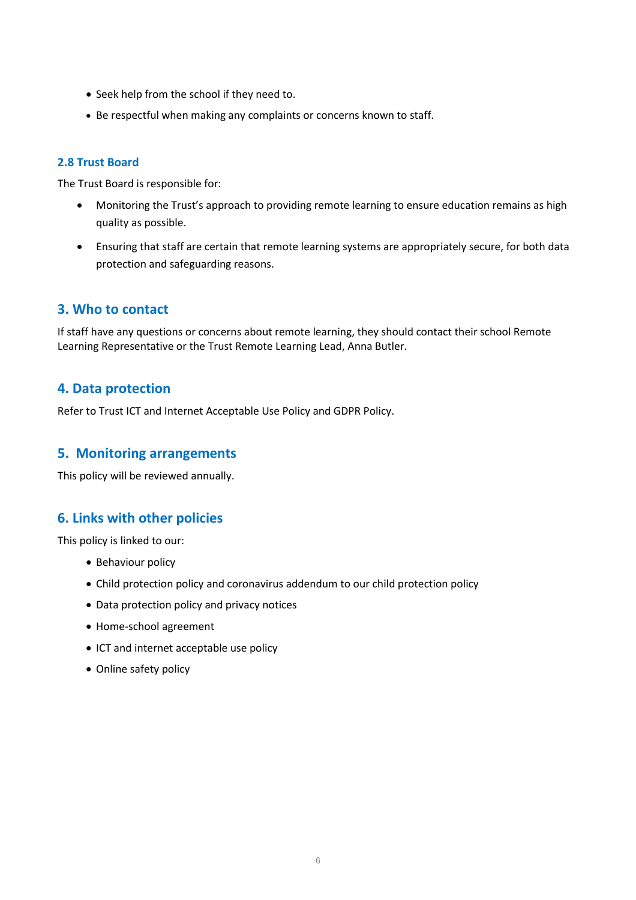- Seek help from the school if they need to.
- Be respectful when making any complaints or concerns known to staff.

#### **2.8 Trust Board**

The Trust Board is responsible for:

- Monitoring the Trust's approach to providing remote learning to ensure education remains as high quality as possible.
- Ensuring that staff are certain that remote learning systems are appropriately secure, for both data protection and safeguarding reasons.

# <span id="page-5-0"></span>**3. Who to contact**

If staff have any questions or concerns about remote learning, they should contact their school Remote Learning Representative or the Trust Remote Learning Lead, Anna Butler.

# <span id="page-5-1"></span>**4. Data protection**

Refer to Trust ICT and Internet Acceptable Use Policy and GDPR Policy.

# <span id="page-5-2"></span>**5. Monitoring arrangements**

This policy will be reviewed annually.

# <span id="page-5-3"></span>**6. Links with other policies**

This policy is linked to our:

- Behaviour policy
- Child protection policy and coronavirus addendum to our child protection policy
- Data protection policy and privacy notices
- Home-school agreement
- ICT and internet acceptable use policy
- Online safety policy